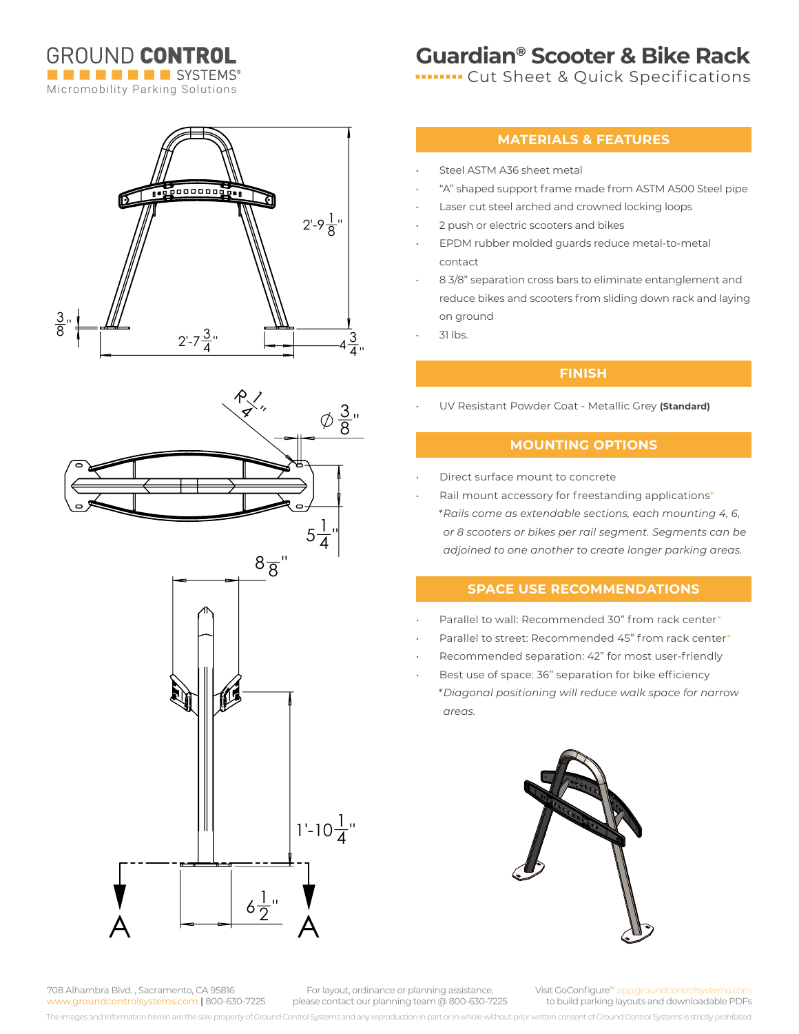**GROUND CONTROL THE ENDING SYSTEMS®** Micromobility Parking Solutions

## **Guardian® Scooter & Bike Rack**

**In THE CHA Sheet & Quick Specifications** 

# 1090000000000  $2^{\prime}$ -9 $\frac{1}{8}^{\prime\prime}$  $\frac{3}{8}$ "  $2'-7\frac{3}{4}$ "  $-4\frac{3}{4}$ 4 "





### **MATERIALS & FEATURES**

- Steel ASTM A36 sheet metal
- "A" shaped support frame made from ASTM A500 Steel pipe
- Laser cut steel arched and crowned locking loops
- 2 push or electric scooters and bikes
- EPDM rubber molded guards reduce metal-to-metal contact
- 8 3/8" separation cross bars to eliminate entanglement and reduce bikes and scooters from sliding down rack and laying on ground
- 31 lbs.

### **FINISH**

• UV Resistant Powder Coat - Metallic Grey **(Standard)**

### **MOUNTING OPTIONS**

- Direct surface mount to concrete
- Rail mount accessory for freestanding applications\* *\*Rails come as extendable sections, each mounting 4, 6, or 8 scooters or bikes per rail segment. Segments can be adjoined to one another to create longer parking areas.*

### **SPACE USE RECOMMENDATIONS**

- Parallel to wall: Recommended 30" from rack center\*
- Parallel to street: Recommended 45" from rack center\*
- Recommended separation: 42" for most user-friendly
- Best use of space: 36" separation for bike efficiency *\*Diagonal positioning will reduce walk space for narrow areas.*



708 Alhambra Blvd. , Sacramento, CA 95816 www.groundcontrolsystems.com **|** 800-630-7225

For layout, ordinance or planning assistance, please contact our planning team @ 800-630-7225

Visit GoConfigure<sup>™</sup> app.groundc to build parking layouts and downloadable PDFs

The images and information herein are the sole property of Ground Control Systems and any reproduction in part or in whole without prior written consent of Ground Control Systems is strictly prohibited